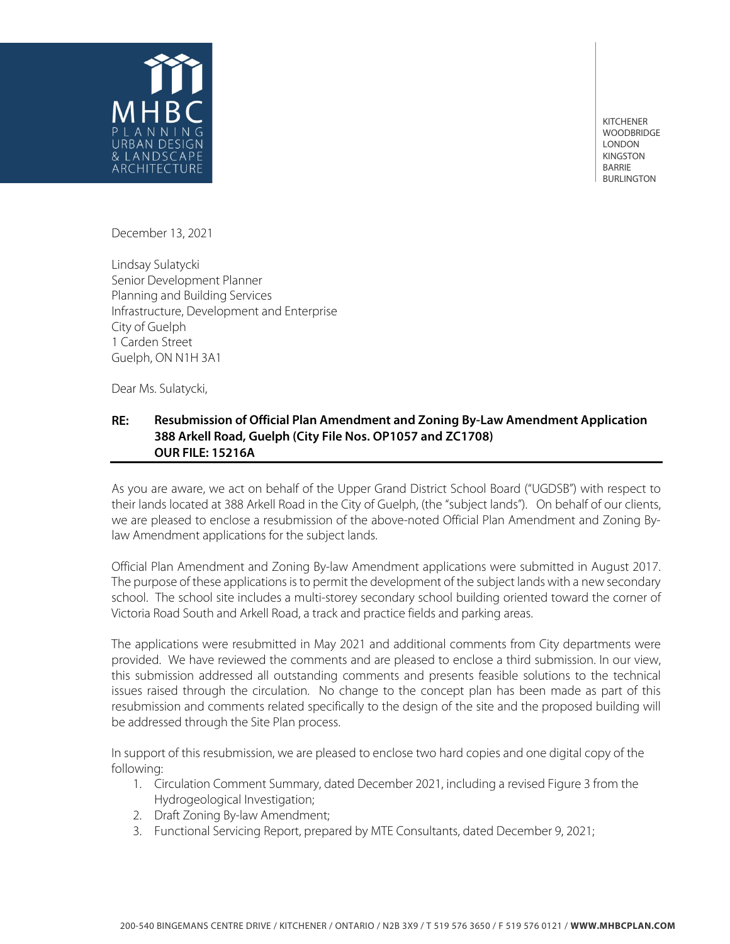

KITCHENER WOODBRIDGE LONDON KINGSTON BARRIE BURLINGTON

December 13, 2021

Lindsay Sulatycki Senior Development Planner Planning and Building Services Infrastructure, Development and Enterprise City of Guelph 1 Carden Street Guelph, ON N1H 3A1

Dear Ms. Sulatycki,

## **RE: Resubmission of Official Plan Amendment and Zoning By-Law Amendment Application 388 Arkell Road, Guelph (City File Nos. OP1057 and ZC1708) OUR FILE: 15216A**

As you are aware, we act on behalf of the Upper Grand District School Board ("UGDSB") with respect to their lands located at 388 Arkell Road in the City of Guelph, (the "subject lands"). On behalf of our clients, we are pleased to enclose a resubmission of the above-noted Official Plan Amendment and Zoning Bylaw Amendment applications for the subject lands.

Official Plan Amendment and Zoning By-law Amendment applications were submitted in August 2017. The purpose of these applications is to permit the development of the subject lands with a new secondary school. The school site includes a multi-storey secondary school building oriented toward the corner of Victoria Road South and Arkell Road, a track and practice fields and parking areas.

The applications were resubmitted in May 2021 and additional comments from City departments were provided. We have reviewed the comments and are pleased to enclose a third submission. In our view, this submission addressed all outstanding comments and presents feasible solutions to the technical issues raised through the circulation. No change to the concept plan has been made as part of this resubmission and comments related specifically to the design of the site and the proposed building will be addressed through the Site Plan process.

In support of this resubmission, we are pleased to enclose two hard copies and one digital copy of the following:

- 1. Circulation Comment Summary, dated December 2021, including a revised Figure 3 from the Hydrogeological Investigation;
- 2. Draft Zoning By-law Amendment;
- 3. Functional Servicing Report, prepared by MTE Consultants, dated December 9, 2021;